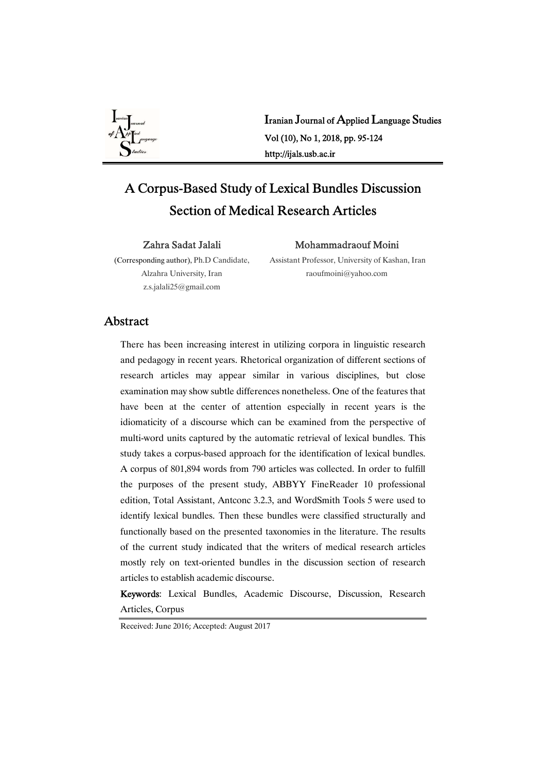

Iranian Journal of Applied Language Studies Vol(10),No1,2018,pp.95-124 http://ijals.usb.ac.ir

# A Corpus-Based Study of Lexical Bundles Discussion Section of Medical Research Articles

Zahra Sadat Jalali

# Mohammadraouf Moini

(Corresponding author), Ph.D Candidate, Alzahra University, Iran z.s.jalali25@gmail.com

Assistant Professor, University of Kashan, Iran raoufmoini@yahoo.com

# Abstract

There has been increasing interest in utilizing corpora in linguistic research and pedagogy in recent years. Rhetorical organization of different sections of research articles may appear similar in various disciplines, but close examination may show subtle differences nonetheless. One of the features that have been at the center of attention especially in recent years is the idiomaticity of a discourse which can be examined from the perspective of multi-word units captured by the automatic retrieval of lexical bundles. This study takes a corpus-based approach for the identification of lexical bundles. A corpus of 801,894 words from 790 articles was collected. In order to fulfill the purposes of the present study, ABBYY FineReader 10 professional edition, Total Assistant, Antconc 3.2.3, and WordSmith Tools 5 were used to identify lexical bundles. Then these bundles were classified structurally and functionally based on the presented taxonomies in the literature. The results of the current study indicated that the writers of medical research articles mostly rely on text-oriented bundles in the discussion section of research articles to establish academic discourse.

Keywords: Lexical Bundles, Academic Discourse, Discussion, Research Articles, Corpus

Received: June 2016; Accepted: August 2017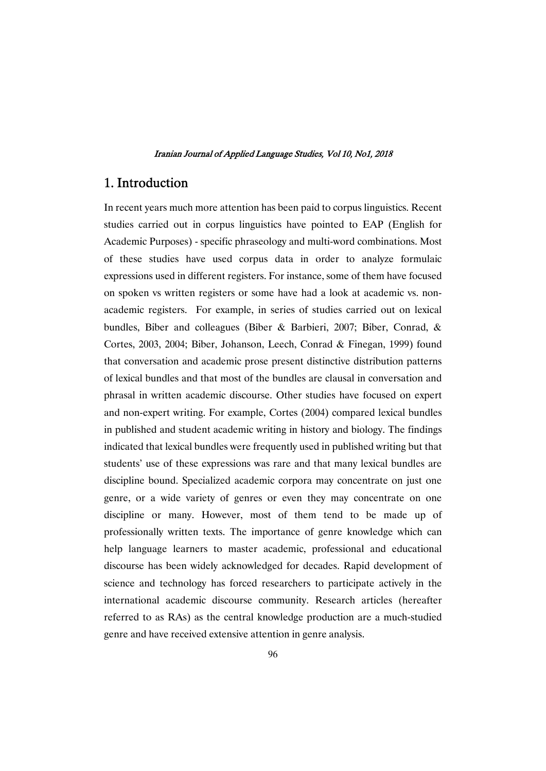# 1. Introduction

In recent years much more attention has been paid to corpus linguistics. Recent studies carried out in corpus linguistics have pointed to EAP (English for Academic Purposes) - specific phraseology and multi-word combinations. Most of these studies have used corpus data in order to analyze formulaic expressions used in different registers. For instance, some of them have focused on spoken vs written registers or some have had a look at academic vs. nonacademic registers. For example, in series of studies carried out on lexical bundles, Biber and colleagues (Biber & Barbieri, 2007; Biber, Conrad, & Cortes, 2003, 2004; Biber, Johanson, Leech, Conrad & Finegan, 1999) found that conversation and academic prose present distinctive distribution patterns of lexical bundles and that most of the bundles are clausal in conversation and phrasal in written academic discourse. Other studies have focused on expert and non-expert writing. For example, Cortes (2004) compared lexical bundles in published and student academic writing in history and biology. The findings indicated that lexical bundles were frequently used in published writing but that students' use of these expressions was rare and that many lexical bundles are discipline bound. Specialized academic corpora may concentrate on just one genre, or a wide variety of genres or even they may concentrate on one discipline or many. However, most of them tend to be made up of professionally written texts. The importance of genre knowledge which can help language learners to master academic, professional and educational discourse has been widely acknowledged for decades. Rapid development of science and technology has forced researchers to participate actively in the international academic discourse community. Research articles (hereafter referred to as RAs) as the central knowledge production are amuch-studied genre and have received extensive attention in genre analysis.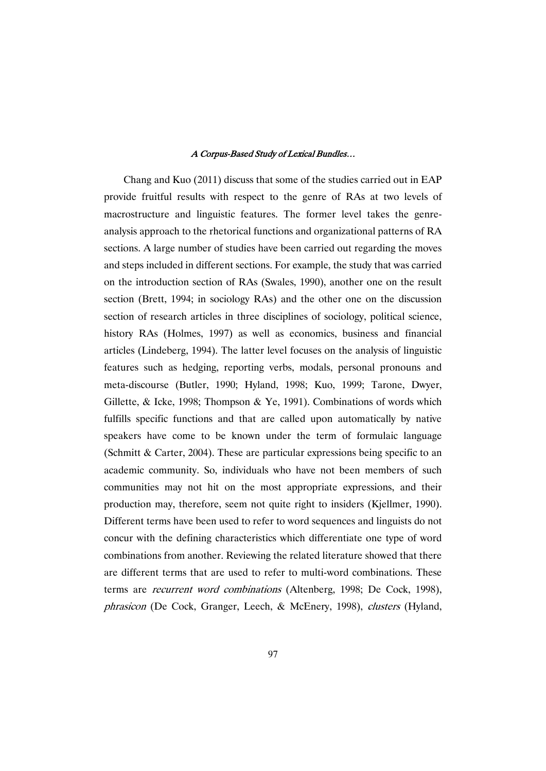Chang and Kuo  $(2011)$  discuss that some of the studies carried out in EAP provide fruitful results with respect to the genre of RAs at two levels of macrostructure and linguistic features. The former level takes the genreanalysis approach to the rhetorical functions and organizational patterns of RA sections. A large number of studies have been carried out regarding the moves and steps included in different sections. For example, the study that was carried on the introduction section of RAs (Swales, 1990), another one on the result section (Brett, 1994; in sociology RAs) and the other one on the discussion section of research articles in three disciplines of sociology, political science, history RAs (Holmes, 1997) as well as economics, business and financial articles (Lindeberg, 1994). The latter level focuses on the analysis of linguistic features such as hedging, reporting verbs, modals, personal pronouns and meta-discourse (Butler, 1990; Hyland, 1998; Kuo, 1999; Tarone, Dwyer, Gillette, & Icke, 1998; Thompson & Ye, 1991). Combinations of words which fulfills specific functions and that are called upon automatically by native speakers have come to be known under the term of formulaic language (Schmitt & Carter, 2004). These are particular expressions being specific to an academic community. So, individuals who have not been members of such communities may not hit on the most appropriate expressions, and their production may, therefore, seem not quite right to insiders (Kjellmer, 1990). Different terms have been used to refer to word sequences and linguists do not concur with the defining characteristics which differentiate one type of word combinations from another. Reviewing the related literature showed that there are different terms that are used to refer to multi-word combinations. These terms are recurrent word combinations (Altenberg, 1998; De Cock, 1998), phrasicon (De Cock, Granger, Leech, & McEnery, 1998), clusters (Hyland,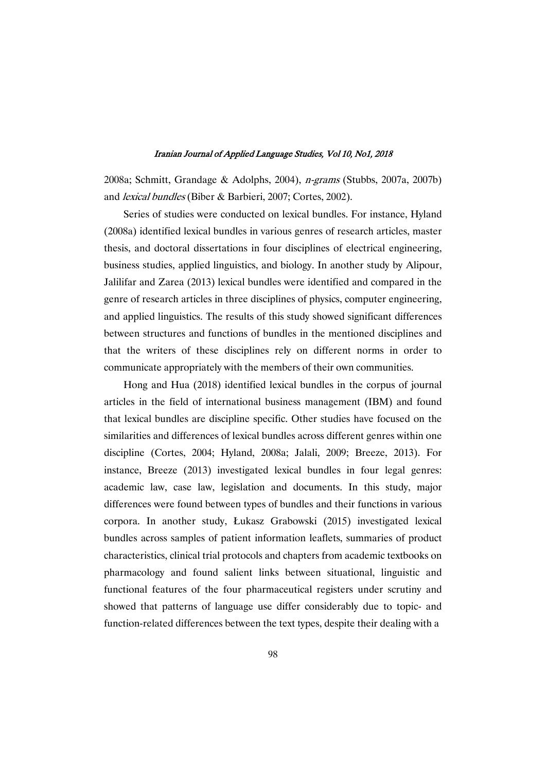2008a; Schmitt, Grandage & Adolphs, 2004), n-grams (Stubbs, 2007a, 2007b) and *lexical bundles* (Biber & Barbieri, 2007; Cortes, 2002).

Series of studies were conducted on lexical bundles. For instance, Hyland (2008a) identified lexical bundles in various genres of research articles, master thesis, and doctoral dissertations in four disciplines of electrical engineering, business studies, applied linguistics, and biology. In another study by Alipour, Jalilifar and Zarea (2013) lexical bundles were identified and compared in the genre of research articles in three disciplines of physics, computer engineering, and applied linguistics. The results of this study showed significant differences between structures and functions of bundles in the mentioned disciplines and that the writers of these disciplines rely on different norms in order to communicate appropriately with the members of their own communities.

Hong and Hua (2018) identified lexical bundles in the corpus of journal articles in the field of international business management (IBM) and found that lexical bundles are discipline specific. Other studies have focused on the similarities and differences of lexical bundles across different genres within one discipline (Cortes, 2004; Hyland, 2008a; Jalali, 2009; Breeze, 2013). For instance, Breeze (2013) investigated lexical bundles in four legal genres: academic law, case law, legislation and documents. In this study, major differences were found between types of bundles and their functions in various corpora. In another study, Łukasz Grabowski (2015) investigated lexical bundles across samples of patient information leaflets, summaries of product characteristics, clinical trial protocols and chapters from academic textbooks on pharmacology and found salient links between situational, linguistic and functional features of the four pharmaceutical registers under scrutiny and showed that patterns of language use differ considerably due to topic- and function-related differences between the text types, despite their dealing with a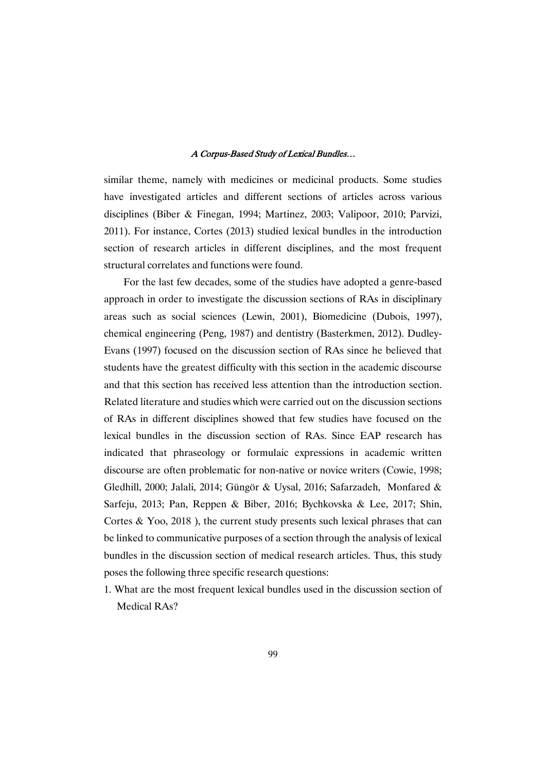similar theme, namely with medicines or medicinal products. Some studies have investigated articles and different sections of articles across various disciplines (Biber & Finegan, 1994; Martinez, 2003; Valipoor, 2010; Parvizi, 2011). For instance, Cortes (2013) studied lexical bundles in the introduction section of research articles in different disciplines, and the most frequent structural correlates and functions were found.

For the last few decades, some of the studies have adopted a genre-based approach in order to investigate the discussion sections of RAs in disciplinary areas such as social sciences (Lewin, 2001), Biomedicine (Dubois, 1997), chemical engineering (Peng, 1987) and dentistry (Basterkmen, 2012). Dudley-Evans (1997) focused on the discussion section of RAs since he believed that students have the greatest difficulty with this section in the academic discourse and that this section has received less attention than the introduction section. Related literature and studies which were carried out on the discussion sections of RAs in different disciplines showed that few studies have focused on the lexical bundles in the discussion section of RAs. Since EAP research has indicated that phraseology or formulaic expressions in academic written discourse are often problematic for non-native or novice writers (Cowie, 1998; Gledhill, 2000; Jalali, 2014; Güngör & Uysal, 2016; Safarzadeh, Monfared & Sarfeju, 2013; Pan, Reppen & Biber, 2016; Bychkovska & Lee, 2017; Shin, Cortes & Yoo, 2018), the current study presents such lexical phrases that can be linked to communicative purposes of a section through the analysis of lexical bundles in the discussion section of medical research articles. Thus, this study poses the following three specific research questions:

1. What are the most frequent lexical bundles used in the discussion section of Medical RAs?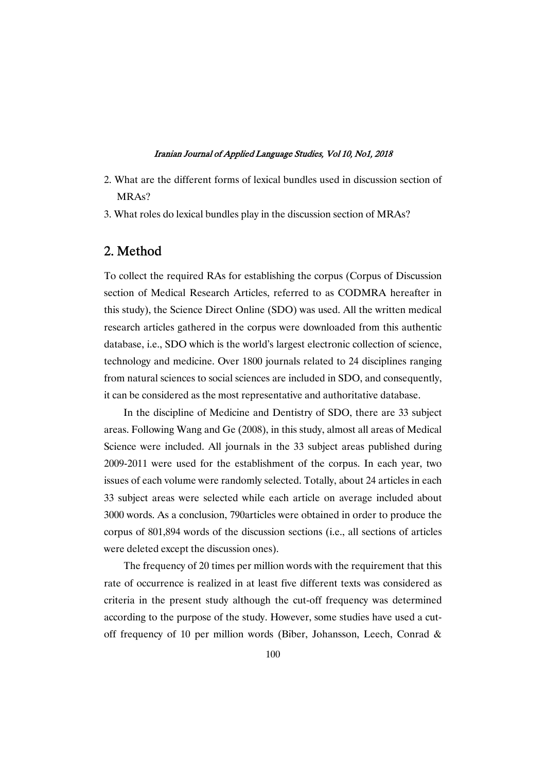- 2. What are the different forms of lexical bundles used in discussion section of MRA<sub>s</sub>?
- 3. What roles do lexical bundles play in the discussion section of MRAs?

# 2.Method

To collect the required RAs for establishing the corpus (Corpus of Discussion section of Medical Research Articles, referred to as CODMRA hereafter in this study), the Science Direct Online (SDO) was used. All the written medical research articles gathered in the corpus were downloaded from this authentic database, i.e., SDO which is the world's largest electronic collection of science, technology and medicine. Over 1800 journals related to 24 disciplines ranging from natural sciences to social sciences are included in SDO, and consequently, it can be considered as the most representative and authoritative database.

In the discipline of Medicine and Dentistry of SDO, there are 33 subject areas. Following Wang and Ge (2008), in this study, almost all areas of Medical Science were included. All journals in the 33 subject areas published during 2009-2011 were used for the establishment of the corpus. In each year, two issues of each volume were randomly selected. Totally, about 24 articles in each 33 subject areas were selected while each article on average included about 3000 words. As a conclusion, 790articles were obtained in order to produce the corpus of 801,894 words of the discussion sections (i.e., all sections of articles were deleted except the discussion ones).

The frequency of 20 times per million words with the requirement that this rate of occurrence is realized in at least five different texts was considered as criteria in the present study although the cut-off frequency was determined according to the purpose of the study. However, some studies have used a cutoff frequency of 10 per million words (Biber, Johansson, Leech, Conrad &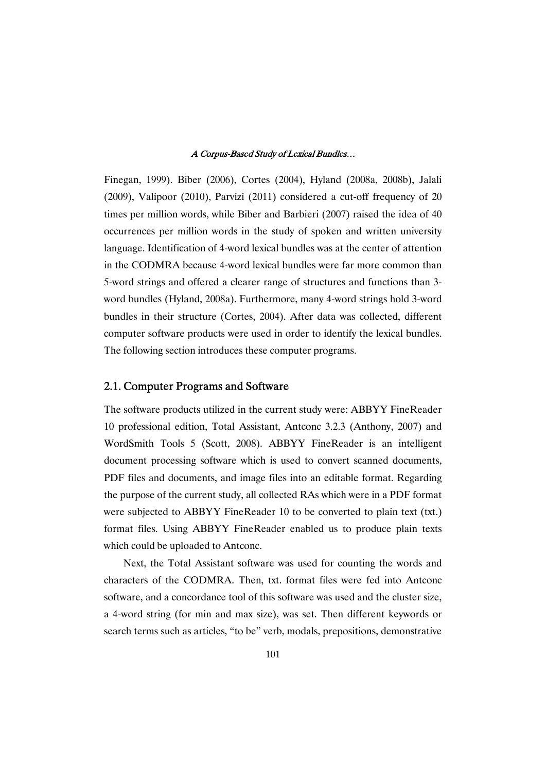Finegan, 1999). Biber (2006), Cortes (2004), Hyland (2008a, 2008b), Jalali (2009), Valipoor (2010), Parvizi (2011) considered a cut-off frequency of 20 times per million words, while Biber and Barbieri (2007) raised the idea of 40 occurrences per million words in the study of spoken and written university language. Identification of 4-word lexical bundles was at the center of attention in the CODMRA because 4-word lexical bundles were far more common than 5-word strings and offered a clearer range of structures and functions than 3word bundles (Hyland, 2008a). Furthermore, many 4-word strings hold 3-word bundles in their structure (Cortes, 2004). After data was collected, different computer software products were used in order to identify the lexical bundles. The following section introduces these computer programs.

# 2.1. Computer Programs and Software

The software products utilized in the current study were: ABBYY FineReader 10 professional edition, Total Assistant, Antconc 3.2.3 (Anthony, 2007) and WordSmith Tools 5 (Scott, 2008). ABBYY FineReader is an intelligent document processing software which is used to convert scanned documents, PDF files and documents, and image files into an editable format. Regarding the purpose of the current study, all collected RAs which were in a PDF format were subjected to ABBYY FineReader 10 to be converted to plain text (txt.) format files. Using ABBYY FineReader enabled us to produce plain texts which could be uploaded to Antconc.

Next, the Total Assistant software was used for counting the words and characters of the CODMRA. Then, txt. format files were fed into Antconc software, and a concordance tool of this software was used and the cluster size, a 4-word string (for min and max size), was set. Then different keywords or search terms such as articles, "to be" verb, modals, prepositions, demonstrative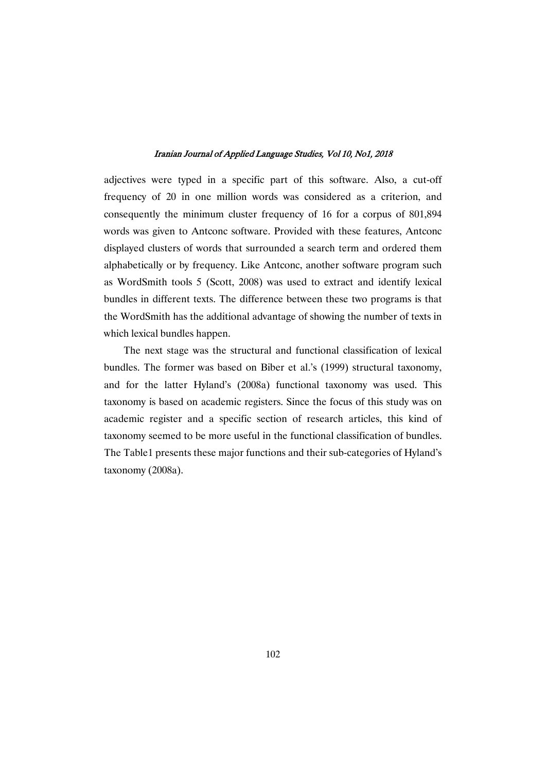adjectives were typed in a specific part of this software. Also, a cut-off frequency of 20 in one million words was considered as a criterion, and consequently the minimum cluster frequency of 16 for a corpus of 801,894 words was given to Antconc software. Provided with these features, Antconc displayed clusters of words that surrounded a search term and ordered them alphabetically or by frequency. Like Antconc, another software program such as WordSmith tools 5 (Scott, 2008) was used to extract and identify lexical bundles in different texts. The difference between these two programs is that the WordSmith has the additional advantage of showing the number of texts in which lexical bundles happen.

The next stage was the structural and functional classification of lexical bundles. The former was based on Biber et al.'s (1999) structural taxonomy, and for the latter Hyland's (2008a) functional taxonomy was used. This taxonomy is based on academic registers. Since the focus of this study was on academic register and a specific section of research articles, this kind of taxonomy seemed to be more useful in the functional classification of bundles. The Table1 presents these major functions and their sub-categories of Hyland's taxonomy(2008a).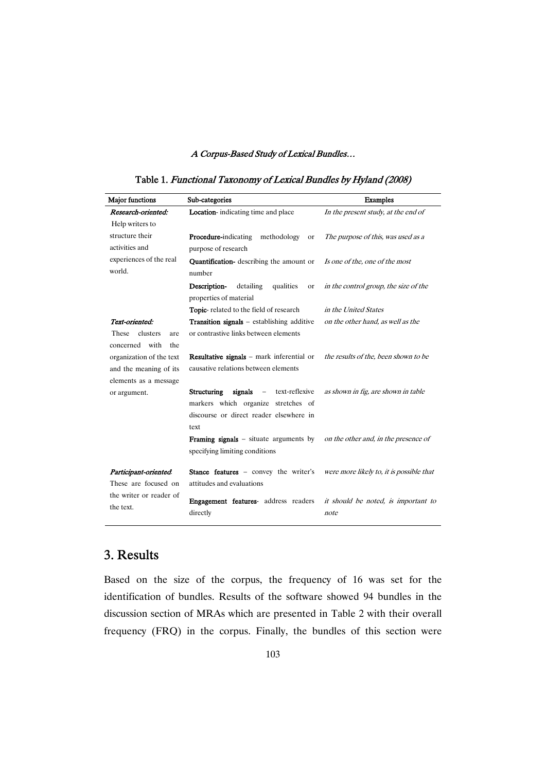| <b>Major</b> functions   | Sub-categories                                                              | <b>Examples</b>                          |  |  |
|--------------------------|-----------------------------------------------------------------------------|------------------------------------------|--|--|
| Research-oriented:       | <b>Location</b> -indicating time and place                                  | In the present study, at the end of      |  |  |
| Help writers to          |                                                                             |                                          |  |  |
| structure their          | <b>Procedure-indicating</b><br>methodology<br><b>or</b>                     | The purpose of this, was used as a       |  |  |
| activities and           | purpose of research                                                         |                                          |  |  |
| experiences of the real  | Quantification- describing the amount or                                    | Is one of the, one of the most           |  |  |
| world.                   | number                                                                      |                                          |  |  |
|                          | Description-<br>detailing<br>qualities<br><b>or</b>                         | in the control group, the size of the    |  |  |
|                          | properties of material                                                      |                                          |  |  |
|                          | Topic-related to the field of research                                      | in the United States                     |  |  |
| Text-oriented:           | <b>Transition signals</b> – establishing additive                           | on the other hand, as well as the        |  |  |
| clusters<br>These<br>are | or contrastive links between elements                                       |                                          |  |  |
| with<br>concerned<br>the |                                                                             |                                          |  |  |
| organization of the text | <b>Resultative signals</b> – mark inferential or                            | the results of the, been shown to be     |  |  |
| and the meaning of its   | causative relations between elements                                        |                                          |  |  |
| elements as a message    |                                                                             |                                          |  |  |
| or argument.             | signals<br>text-reflexive<br><b>Structuring</b><br>$\overline{\phantom{a}}$ | as shown in fig, are shown in table      |  |  |
|                          | markers which organize stretches of                                         |                                          |  |  |
|                          | discourse or direct reader elsewhere in                                     |                                          |  |  |
|                          | text                                                                        |                                          |  |  |
|                          | <b>Framing signals</b> – situate arguments by                               | on the other and, in the presence of     |  |  |
|                          | specifying limiting conditions                                              |                                          |  |  |
| Participant-oriented.    | Stance features - convey the writer's                                       | were more likely to, it is possible that |  |  |
| These are focused on     | attitudes and evaluations                                                   |                                          |  |  |
| the writer or reader of  |                                                                             |                                          |  |  |
| the text.                | <b>Engagement features-</b> address readers                                 | it should be noted, is important to      |  |  |
|                          | directly                                                                    | note                                     |  |  |

# Table 1. Functional Taxonomy of Lexical Bundles by Hyland (2008)

# 3. Results

Based on the size of the corpus, the frequency of 16 was set for the identification of bundles. Results of the software showed 94 bundles in the discussion section of MRAs which are presented in Table 2 with their overall frequency (FRQ) in the corpus. Finally, the bundles of this section were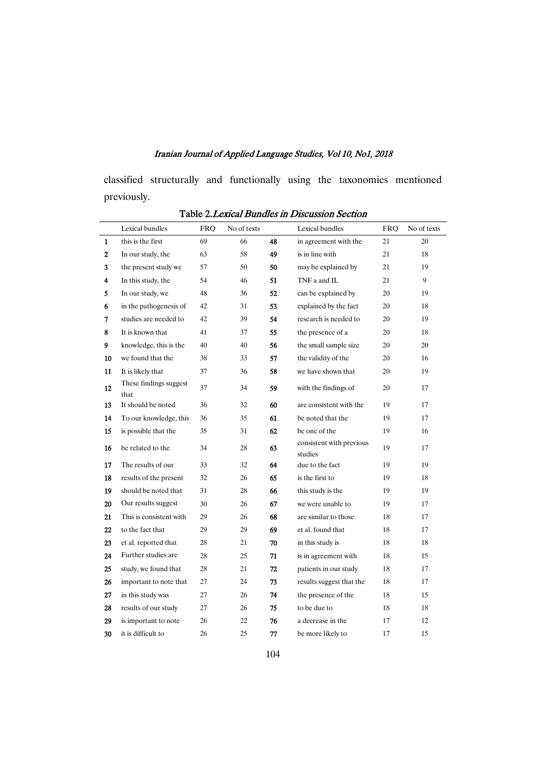classified structurally and functionally using the taxonomies mentioned previously.

|              | Lexical bundles                | <b>FRO</b> | No of texts |    | Lexical bundles                     | <b>FRO</b> | No of texts |
|--------------|--------------------------------|------------|-------------|----|-------------------------------------|------------|-------------|
| $\mathbf{1}$ | this is the first              | 69         | 66          | 48 | in agreement with the               | 21         | 20          |
| $\mathbf{2}$ | In our study, the              | 63         | 58          | 49 | is in line with                     | 21         | 18          |
| 3            | the present study we           | 57         | 50          | 50 | may be explained by                 | 21         | 19          |
| 4            | In this study, the             | 54         | 46          | 51 | TNF a and IL                        | 21         | 9           |
| 5            | In our study, we               | 48         | 36          | 52 | can be explained by                 | 20         | 19          |
| 6            | in the pathogenesis of         | 42         | 31          | 53 | explained by the fact               | 20         | 18          |
| 7            | studies are needed to          | 42         | 39          | 54 | research is needed to               | 20         | 19          |
| 8            | It is known that               | 41         | 37          | 55 | the presence of a                   | 20         | 18          |
| 9            | knowledge, this is the         | 40         | 40          | 56 | the small sample size               | 20         | 20          |
| 10           | we found that the              | 38         | 33          | 57 | the validity of the                 | 20         | 16          |
| 11           | It is likely that              | 37         | 36          | 58 | we have shown that                  | 20         | 19          |
| 12           | These findings suggest<br>that | 37         | 34          | 59 | with the findings of                | 20         | 17          |
| 13           | It should be noted             | 36         | 32          | 60 | are consistent with the             | 19         | 17          |
| 14           | To our knowledge, this         | 36         | 35          | 61 | be noted that the                   | 19         | 17          |
| 15           | is possible that the           | 35         | 31          | 62 | be one of the                       | 19         | 16          |
| 16           | be related to the              | 34         | 28          | 63 | consistent with previous<br>studies | 19         | 17          |
| 17           | The results of our             | 33         | 32          | 64 | due to the fact                     | 19         | 19          |
| 18           | results of the present         | 32         | 26          | 65 | is the first to                     | 19         | 18          |
| 19           | should be noted that           | 31         | 28          | 66 | this study is the                   | 19         | 19          |
| 20           | Our results suggest            | 30         | 26          | 67 | we were unable to                   | 19         | 17          |
| 21           | This is consistent with        | 29         | 26          | 68 | are similar to those                | 18         | 17          |
| 22           | to the fact that               | 29         | 29          | 69 | et al. found that                   | 18         | 17          |
| 23           | et al. reported that           | 28         | 21          | 70 | in this study is                    | 18         | 18          |
| 24           | Further studies are            | 28         | 25          | 71 | is in agreement with                | 18         | 15          |
| 25           | study, we found that           | 28         | 21          | 72 | patients in our study               | 18         | 17          |
| 26           | important to note that         | 27         | 24          | 73 | results suggest that the            | 18         | 17          |
| 27           | in this study was              | 27         | 26          | 74 | the presence of the                 | 18         | 15          |
| 28           | results of our study           | 27         | 26          | 75 | to be due to                        | 18         | 18          |
| 29           | is important to note           | 26         | 22          | 76 | a decrease in the                   | 17         | 12          |
| 30           | it is difficult to             | 26         | 25          | 77 | be more likely to                   | 17         | 15          |

Table 2. Lexical Bundles in Discussion Section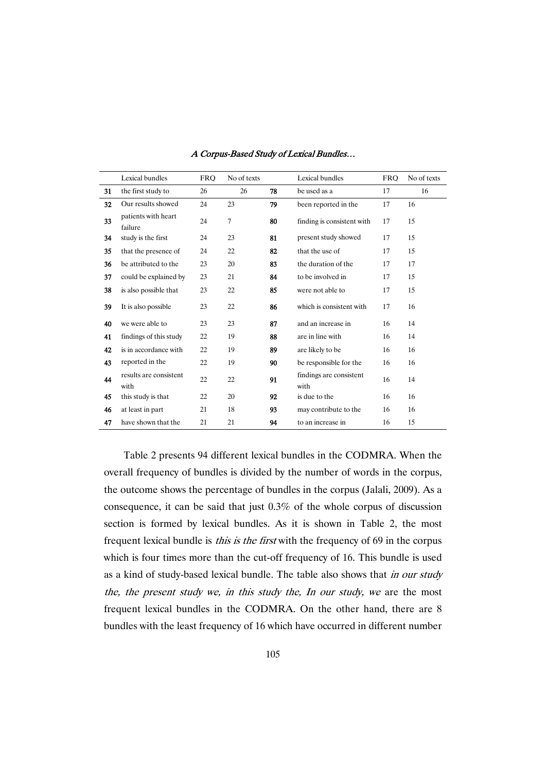|    | Lexical bundles                | <b>FRO</b> | No of texts |    | Lexical bundles                 | <b>FRO</b> | No of texts |
|----|--------------------------------|------------|-------------|----|---------------------------------|------------|-------------|
| 31 | the first study to             | 26         | 26          | 78 | be used as a                    | 17         | 16          |
| 32 | Our results showed             | 24         | 23          | 79 | been reported in the            | 17         | 16          |
| 33 | patients with heart<br>failure | 24         | 7           | 80 | finding is consistent with      | 17         | 15          |
| 34 | study is the first             | 24         | 23          | 81 | present study showed            | 17         | 15          |
| 35 | that the presence of           | 24         | 22          | 82 | that the use of                 | 17         | 15          |
| 36 | be attributed to the           | 23         | 20          | 83 | the duration of the             | 17         | 17          |
| 37 | could be explained by          | 23         | 21          | 84 | to be involved in               | 17         | 15          |
| 38 | is also possible that          | 23         | 22          | 85 | were not able to                | 17         | 15          |
| 39 | It is also possible            | 23         | 22          | 86 | which is consistent with        | 17         | 16          |
| 40 | we were able to                | 23         | 23          | 87 | and an increase in              | 16         | 14          |
| 41 | findings of this study         | 22         | 19          | 88 | are in line with                | 16         | 14          |
| 42 | is in accordance with          | 22         | 19          | 89 | are likely to be                | 16         | 16          |
| 43 | reported in the                | 22         | 19          | 90 | be responsible for the          | 16         | 16          |
| 44 | results are consistent<br>with | 22         | 22          | 91 | findings are consistent<br>with | 16         | 14          |
| 45 | this study is that             | 22         | 20          | 92 | is due to the                   | 16         | 16          |
| 46 | at least in part               | 21         | 18          | 93 | may contribute to the           | 16         | 16          |
| 47 | have shown that the            | 21         | 21          | 94 | to an increase in               | 16         | 15          |

Table 2 presents 94 different lexical bundles in the CODMRA. When the overall frequency of bundles is divided by the number of words in the corpus, the outcome shows the percentage of bundles in the corpus (Jalali, 2009). As a consequence, it can be said that just 0.3% of the whole corpus of discussion section is formed by lexical bundles. As it is shown in Table 2, the most frequent lexical bundle is *this is the first* with the frequency of 69 in the corpus which is four times more than the cut-off frequency of 16. This bundle is used as a kind of study-based lexical bundle. The table also shows that in our study the, the present study we, in this study the, In our study, we are the most frequent lexical bundles in the CODMRA. On the other hand, there are 8 bundles with the least frequency of 16 which have occurred in different number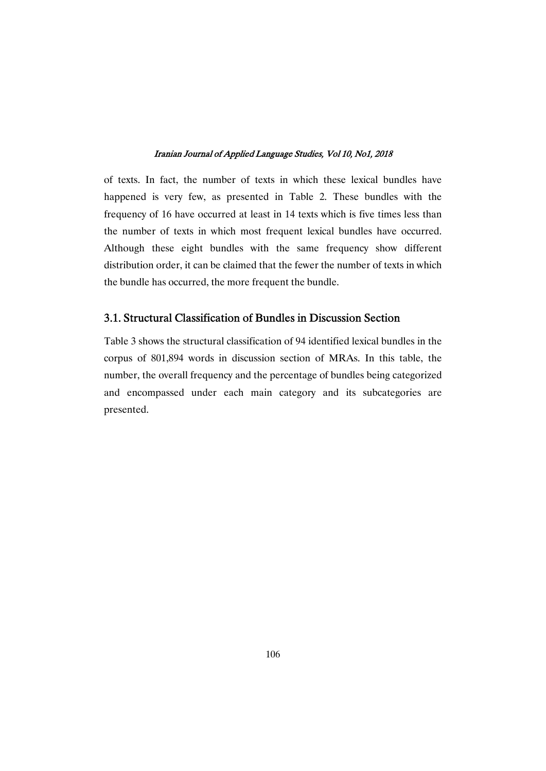of texts. In fact, the number of texts in which these lexical bundles have happened is very few, as presented in Table 2. These bundles with the frequency of 16 have occurred at least in 14 texts which is five times less than the number of texts in which most frequent lexical bundles have occurred. Although these eight bundles with the same frequency show different distribution order, it can be claimed that the fewer the number of texts in which the bundle has occurred, the more frequent the bundle.

# 3.1. Structural Classification of Bundles in Discussion Section

Table 3 shows the structural classification of 94 identified lexical bundles in the corpus of 801,894 words in discussion section of MRAs. In this table, the number, the overall frequency and the percentage of bundles being categorized and encompassed under each main category and its subcategories are presented.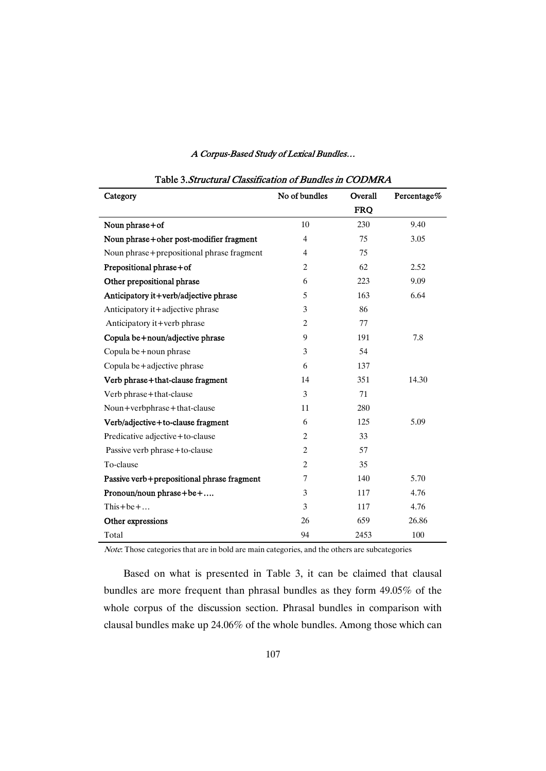| Category                                   | No of bundles  | Overall    | Percentage% |
|--------------------------------------------|----------------|------------|-------------|
|                                            |                | <b>FRQ</b> |             |
| Noun phrase+of                             | 10             | 230        | 9.40        |
| Noun phrase+oher post-modifier fragment    | $\overline{4}$ | 75         | 3.05        |
| Noun phrase+prepositional phrase fragment  | $\overline{4}$ | 75         |             |
| Prepositional phrase+of                    | $\overline{2}$ | 62         | 2.52        |
| Other prepositional phrase                 | 6              | 223        | 9.09        |
| Anticipatory it+verb/adjective phrase      | 5              | 163        | 6.64        |
| Anticipatory it+adjective phrase           | 3              | 86         |             |
| Anticipatory it+verb phrase                | $\overline{c}$ | 77         |             |
| Copula be + noun/adjective phrase          | 9              | 191        | 7.8         |
| Copula be + noun phrase                    | 3              | 54         |             |
| Copula be+adjective phrase                 | 6              | 137        |             |
| Verb phrase+that-clause fragment           | 14             | 351        | 14.30       |
| Verb phrase+that-clause                    | 3              | 71         |             |
| Noun+verbphrase+that-clause                | 11             | 280        |             |
| Verb/adjective+to-clause fragment          | 6              | 125        | 5.09        |
| Predicative adjective+to-clause            | $\overline{2}$ | 33         |             |
| Passive verb phrase + to-clause            | $\overline{c}$ | 57         |             |
| To-clause                                  | $\overline{2}$ | 35         |             |
| Passive verb+prepositional phrase fragment | 7              | 140        | 5.70        |
| Pronoun/noun phrase+be+                    | 3              | 117        | 4.76        |
| This + be +                                | 3              | 117        | 4.76        |
| Other expressions                          | 26             | 659        | 26.86       |
| Total                                      | 94             | 2453       | 100         |

# Table 3.Structural Classification of Bundles in CODMRA

Note: Those categories that are in bold are main categories, and the others are subcategories

Based on what is presented in Table 3, it can be claimed that clausal bundles are more frequent than phrasal bundles as they form 49.05% of the whole corpus of the discussion section. Phrasal bundles in comparison with clausal bundles make up 24.06% of the whole bundles. Among those which can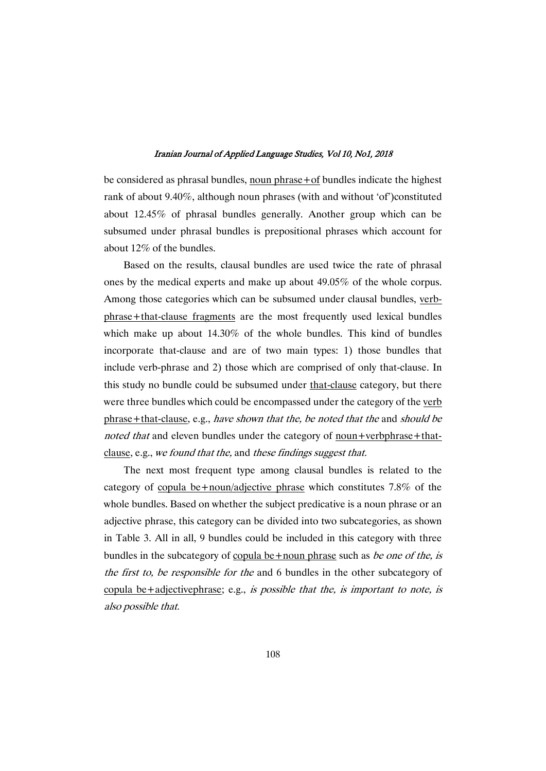be considered as phrasal bundles, noun phrase+of bundles indicate the highest rank of about 9.40%, although noun phrases (with and without 'of')constituted about 12.45% of phrasal bundles generally. Another group which can be subsumed under phrasal bundles is prepositional phrases which account for about  $12\%$  of the bundles.

Based on the results, clausal bundles are used twice the rate of phrasal ones by the medical experts and make up about  $49.05\%$  of the whole corpus. Among those categories which can be subsumed under clausal bundles, verbphrase+that-clause fragments are the most frequently used lexical bundles which make up about 14.30% of the whole bundles. This kind of bundles incorporate that-clause and are of two main types: 1) those bundles that include verb-phrase and 2) thosewhich are comprised of only that-clause. In this study no bundle could be subsumed under that-clause category, but there were three bundles which could be encompassed under the category of the verb phrase+that-clause, e.g., have shown that the, be noted that the and should be noted that and eleven bundles under the category of noun+verbphrase+thatclause, e.g., we found that the, and these findings suggest that.

The next most frequent type among clausal bundles is related to the category of copula be+noun/adjective phrase which constitutes 7.8% of the whole bundles. Based on whether the subject predicative is a noun phrase or an adjective phrase, this category can be divided into two subcategories, as shown in Table 3. All in all, 9 bundles could be included in this category with three bundles in the subcategory of copula be +noun phrase such as *be one of the, is* the first to, be responsible for the and 6 bundles in the other subcategory of copula be+adjectivephrase; e.g., is possible that the, is important to note, is also possible that.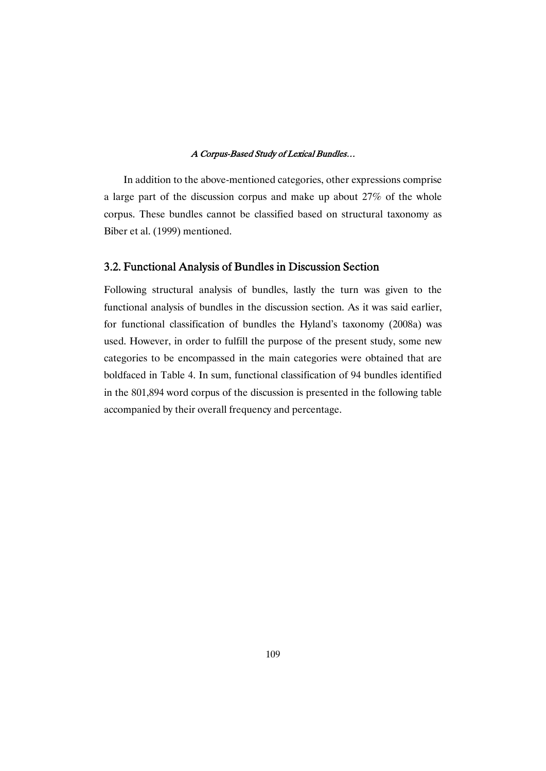In addition to the above-mentioned categories, other expressions comprise a large part of the discussion corpus and make up about 27% of the whole corpus. These bundles cannot be classified based on structural taxonomy as Biber et al. (1999) mentioned.

# 3.2. Functional Analysis of Bundles in Discussion Section

Following structural analysis of bundles, lastly the turn was given to the functional analysis of bundles in the discussion section. As it was said earlier, for functional classification of bundles the Hyland's taxonomy (2008a) was used. However, in order to fulfill the purpose of the present study, some new categories to be encompassed in the main categories were obtained that are boldfaced in Table 4. In sum, functional classification of 94 bundles identified in the 801,894 word corpus of the discussion is presented in the following table accompanied by their overall frequency and percentage.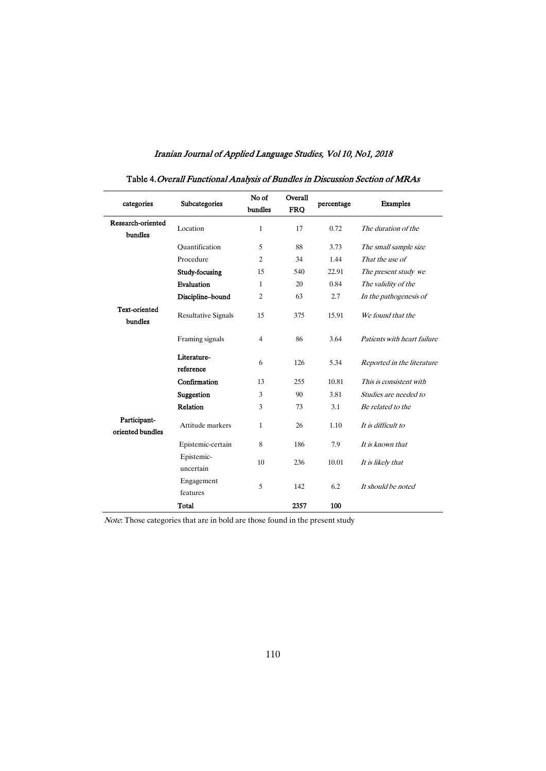| categories                       | Subcategories              | No of<br>bundles | Overall<br><b>FRO</b> | percentage | <b>Examples</b>             |
|----------------------------------|----------------------------|------------------|-----------------------|------------|-----------------------------|
| Research-oriented<br>bundles     | Location                   | $\mathbf{1}$     | 17                    | 0.72       | The duration of the         |
|                                  | Ouantification             | 5                | 88                    | 3.73       | The small sample size       |
|                                  | Procedure                  | $\overline{2}$   | 34                    | 1.44       | That the use of             |
|                                  | Study-focusing             | 15               | 540                   | 22.91      | The present study we        |
|                                  | Evaluation                 | $\mathbf{1}$     | 20                    | 0.84       | The validity of the         |
|                                  | Discipline-bound           | $\overline{2}$   | 63                    | 2.7        | In the pathogenesis of      |
| <b>Text-oriented</b><br>bundles  | <b>Resultative Signals</b> | 15               | 375                   | 15.91      | We found that the           |
|                                  | Framing signals            | $\overline{4}$   | 86                    | 3.64       | Patients with heart failure |
|                                  | Literature-<br>reference   | 6                | 126                   | 5.34       | Reported in the literature  |
|                                  | Confirmation               | 13               | 255                   | 10.81      | This is consistent with     |
|                                  | Suggestion                 | 3                | 90                    | 3.81       | Studies are needed to       |
|                                  | Relation                   | 3                | 73                    | 3.1        | Be related to the           |
| Participant-<br>oriented bundles | Attitude markers           | $\mathbf{1}$     | 26                    | 1.10       | It is difficult to          |
|                                  | Epistemic-certain          | 8                | 186                   | 7.9        | It is known that            |
|                                  | Epistemic-<br>uncertain    | 10               | 236                   | 10.01      | It is likely that           |
|                                  | Engagement<br>features     | 5                | 142                   | 6.2        | It should be noted          |
|                                  | Total                      |                  | 2357                  | 100        |                             |

# Table 4. Overall Functional Analysis of Bundles in Discussion Section of MRAs

Note: Those categories that are in bold are those found in the present study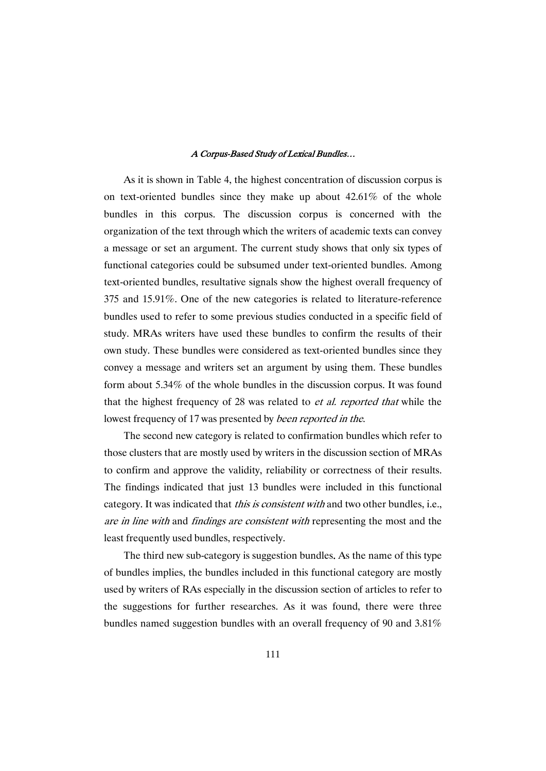As it is shown in Table 4, the highest concentration of discussion corpus is on text-oriented bundles since they make up about 42.61% of the whole bundles in this corpus. The discussion corpus is concerned with the organization of the text through which the writers of academic texts can convey a message or set an argument. The current study shows that only six types of functional categories could be subsumed under text-oriented bundles. Among text-oriented bundles, resultative signals show the highest overall frequency of 375 and 15.91%. One of the new categories is related to literature-reference bundles used to refer to some previous studies conducted in a specific field of study.MRAs writers have used these bundles to confirm the results of their own study. These bundles were considered as text-oriented bundles since they convey amessage andwriters set an argument by using them. These bundles form about  $5.34\%$  of the whole bundles in the discussion corpus. It was found that the highest frequency of 28 was related to *et al. reported that* while the lowest frequency of 17 was presented by *been reported in the.* 

The second new category is related to confirmation bundles which refer to those clusters that are mostly used by writers in the discussion section of MRAs to confirm and approve the validity, reliability or correctness of their results. The findings indicated that just 13 bundles were included in this functional category. It was indicated that this is consistent with and two other bundles, i.e., are in line with and findings are consistent with representing the most and the least frequently used bundles, respectively.

The third new sub-category is suggestion bundles. As the name of this type of bundles implies, the bundles included in this functional category are mostly used by writers of RAs especially in the discussion section of articles to refer to the suggestions for further researches. As it was found, there were three bundles named suggestion bundles with an overall frequency of 90 and  $3.81\%$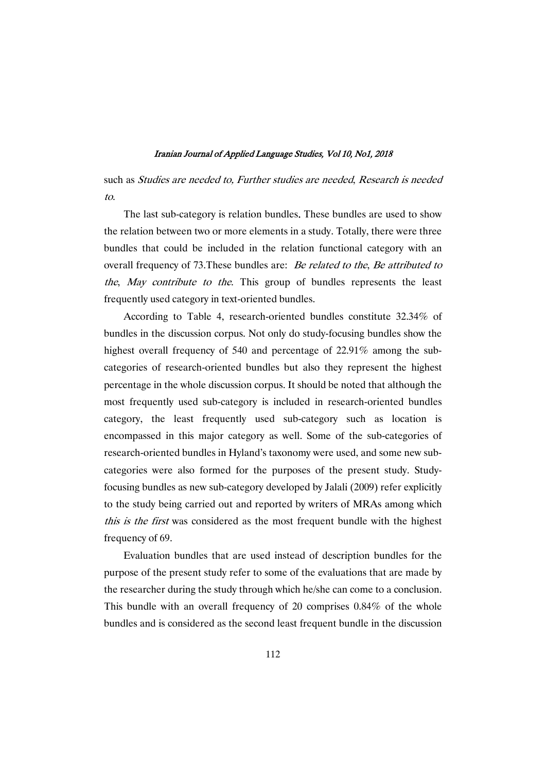such as Studies are needed to, Further studies are needed, Research is needed to.

The last sub-category is relation bundles. These bundles are used to show the relation between two or more elements in a study. Totally, there were three bundles that could be included in the relation functional category with an overall frequency of 73. These bundles are: Be related to the, Be attributed to the, May contribute to the. This group of bundles represents the least frequently used category in text-oriented bundles.

According to Table 4, research-oriented bundles constitute 32.34% of bundles in the discussion corpus. Not only do study-focusing bundles show the highest overall frequency of 540 and percentage of 22.91% among the subcategories of research-oriented bundles but also they represent the highest percentage in the whole discussion corpus. It should be noted that although the most frequently used sub-category is included in research-oriented bundles category, the least frequently used sub-category such as location is encompassed in this major category as well. Some of the sub-categories of research-oriented bundles in Hyland's taxonomy were used, and some new subcategories were also formed for the purposes of the present study. Studyfocusing bundles as new sub-category developed by Jalali (2009) refer explicitly to the study being carried out and reported by writers of MRAs among which this is the first was considered as the most frequent bundle with the highest frequency of 69.

Evaluation bundles that are used instead of description bundles for the purpose of the present study refer to some of the evaluations that are made by the researcher during the study through which he/she can come to a conclusion. This bundle with an overall frequency of 20 comprises 0.84% of the whole bundles and is considered as the second least frequent bundle in the discussion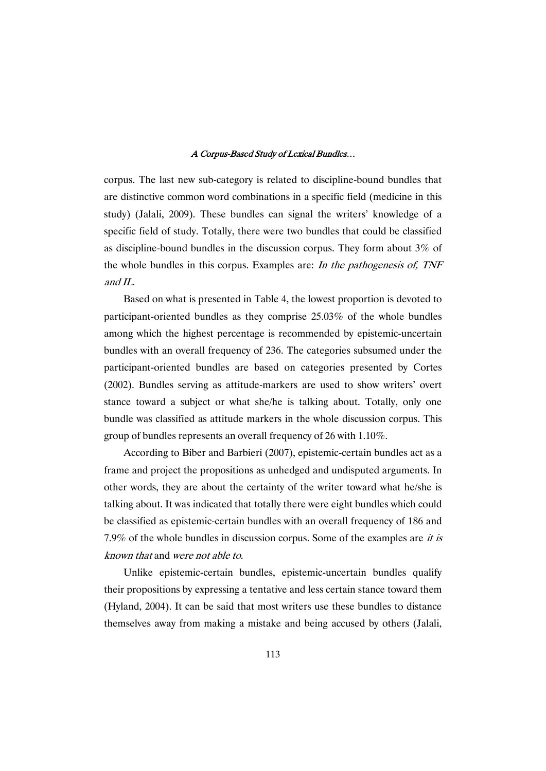corpus. The last new sub-category is related to discipline-bound bundles that are distinctive common word combinations in a specific field (medicine in this study) (Jalali, 2009). These bundles can signal the writers' knowledge of a specific field of study. Totally, there were two bundles that could be classified as discipline-bound bundles in the discussion corpus. They form about  $3\%$  of the whole bundles in this corpus. Examples are: In the pathogenesis of, TNF and  $IL$ .

Based on what is presented in Table 4, the lowest proportion is devoted to participant-oriented bundles as they comprise 25.03% of the whole bundles among which the highest percentage is recommended by epistemic-uncertain bundles with an overall frequency of 236. The categories subsumed under the participant-oriented bundles are based on categories presented by Cortes (2002). Bundles serving as attitude-markers are used to show writers' overt stance toward a subject or what she/he is talking about. Totally, only one bundle was classified as attitude markers in the whole discussion corpus. This group of bundles represents an overall frequency of 26 with  $1.10\%$ .

According to Biber and Barbieri (2007), epistemic-certain bundles act as a frame and project the propositions as unhedged and undisputed arguments. In other words, they are about the certainty of the writer toward what he/she is talking about. It was indicated that totally there were eight bundles which could be classified as epistemic-certain bundles with an overall frequency of 186 and 7.9% of the whole bundles in discussion corpus. Some of the examples are it is known that and were not able to.

Unlike epistemic-certain bundles, epistemic-uncertain bundles qualify their propositions by expressing a tentative and less certain stance toward them (Hyland, 2004). It can be said that most writers use these bundles to distance themselves away frommaking amistake and being accused by others (Jalali,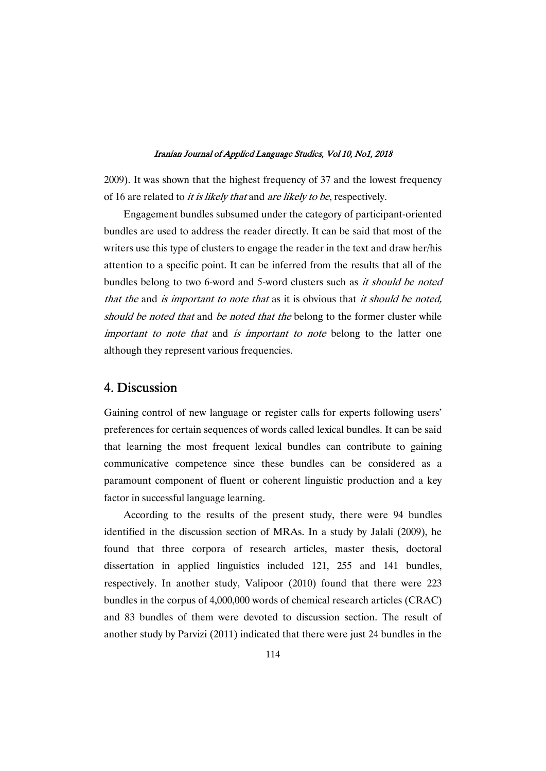2009). It was shown that the highest frequency of 37 and the lowest frequency of 16 are related to *it is likely that* and *are likely to be*, respectively.

Engagement bundles subsumed under the category of participant-oriented bundles are used to address the reader directly. It can be said that most of the writers use this type of clusters to engage the reader in the text and draw her/his attention to a specific point. It can be inferred from the results that all of the bundles belong to two 6-word and 5-word clusters such as *it should be noted* that the and is important to note that as it is obvious that it should be noted, should be noted that and be noted that the belong to the former cluster while important to note that and is important to note belong to the latter one although they represent various frequencies.

# 4. Discussion

Gaining control of new language or register calls for experts following users' preferences for certain sequences of words called lexical bundles. It can be said that learning the most frequent lexical bundles can contribute to gaining communicative competence since these bundles can be considered as a paramount component of fluent or coherent linguistic production and a key factor in successful language learning.

According to the results of the present study, there were 94 bundles identified in the discussion section of MRAs. In a study by Jalali (2009), he found that three corpora of research articles, master thesis, doctoral dissertation in applied linguistics included 121, 255 and 141 bundles, respectively. In another study, Valipoor (2010) found that there were 223 bundles in the corpus of 4,000,000 words of chemical research articles (CRAC) and 83 bundles of them were devoted to discussion section. The result of another study by Parvizi (2011) indicated that there were just 24 bundles in the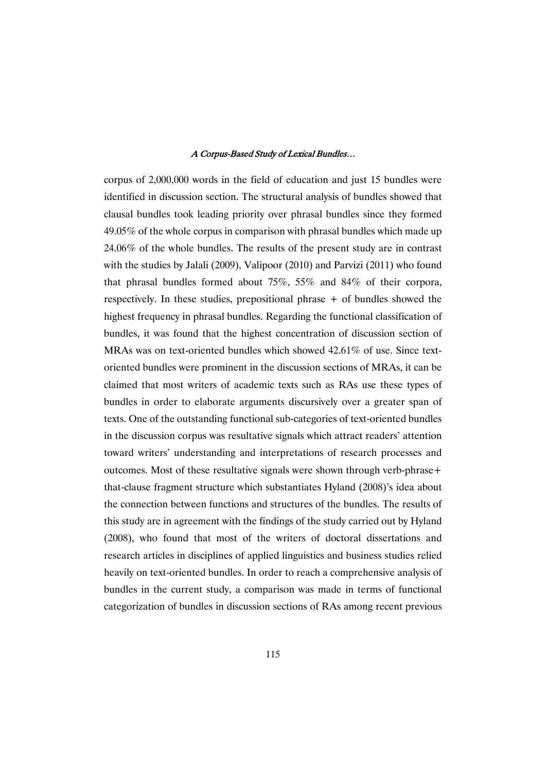corpus of 2,000,000 words in the field of education and just 15 bundles were identified in discussion section. The structural analysis of bundles showed that clausal bundles took leading priority over phrasal bundles since they formed  $49.05\%$  of the whole corpus in comparison with phrasal bundles which made up  $24.06\%$  of the whole bundles. The results of the present study are in contrast with the studies by Jalali (2009), Valipoor (2010) and Parvizi (2011) who found that phrasal bundles formed about 75%, 55% and 84% of their corpora, respectively. In these studies, prepositional phrase + of bundles showed the highest frequency in phrasal bundles. Regarding the functional classification of bundles, it was found that the highest concentration of discussion section of MRAs was on text-oriented bundles which showed  $42.61\%$  of use. Since textoriented bundles were prominent in the discussion sections of MRAs, it can be claimed that most writers of academic texts such as RAs use these types of bundles in order to elaborate arguments discursively over a greater span of texts. One of the outstanding functional sub-categories of text-oriented bundles in the discussion corpus was resultative signals which attract readers' attention toward writers' understanding and interpretations of research processes and outcomes. Most of these resultative signals were shown through verb-phrase + that-clause fragment structure which substantiates Hyland (2008)'s idea about the connection between functions and structures of the bundles. The results of this study are in agreement with the findings of the study carried out by Hyland (2008), who found that most of the writers of doctoral dissertations and research articles in disciplines of applied linguistics and business studies relied heavily on text-oriented bundles. In order to reach a comprehensive analysis of bundles in the current study, a comparison was made in terms of functional categorization of bundles in discussion sections of RAs among recent previous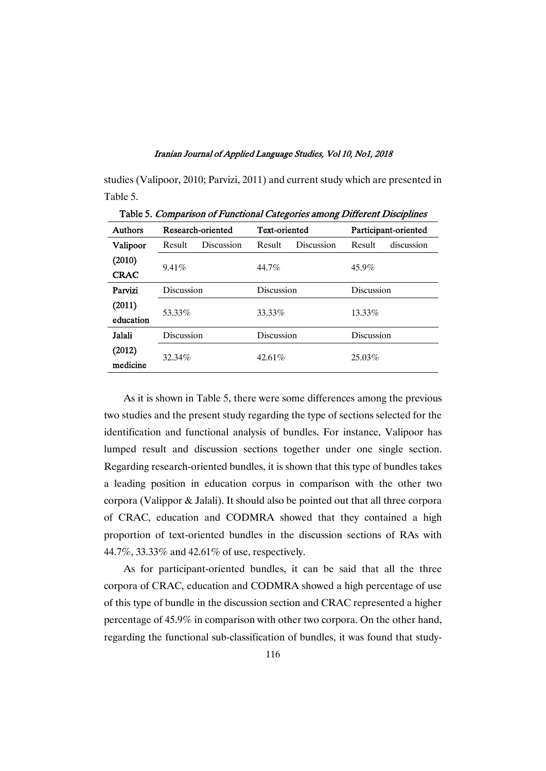studies (Valipoor, 2010; Parvizi, 2011) and current study which are presented in Table 5.

| Tuoto 5: Comparison of Fanonomal Catogories among Different Disciplines |                      |                   |            |                      |            |                      |  |
|-------------------------------------------------------------------------|----------------------|-------------------|------------|----------------------|------------|----------------------|--|
| <b>Authors</b>                                                          |                      | Research-oriented |            | <b>Text-oriented</b> |            | Participant-oriented |  |
| Valipoor                                                                | Result<br>Discussion |                   | Result     | Discussion           | Result     | discussion           |  |
| (2010)                                                                  |                      |                   |            |                      |            |                      |  |
| <b>CRAC</b>                                                             | 9.41%                |                   | 44.7%      |                      | 45.9%      |                      |  |
| Parvizi                                                                 | Discussion           |                   | Discussion |                      | Discussion |                      |  |
| (2011)                                                                  |                      |                   |            |                      |            |                      |  |
| education                                                               | 53.33%               |                   | 33.33%     |                      | $13.33\%$  |                      |  |
| Jalali                                                                  | Discussion           |                   | Discussion |                      | Discussion |                      |  |
| (2012)                                                                  |                      |                   |            |                      |            |                      |  |
| medicine                                                                | 32.34%               |                   | 42.61%     |                      | 25.03%     |                      |  |

Table 5. Comparison of Functional Categories among Different Disciplines

As it is shown in Table 5, there were some differences among the previous two studies and the present study regarding the type of sections selected for the identification and functional analysis of bundles. For instance, Valipoor has lumped result and discussion sections together under one single section. Regarding research-oriented bundles, it is shown that this type of bundles takes a leading position in education corpus in comparison with the other two corpora (Valippor & Jalali). It should also be pointed out that all three corpora of CRAC, education and CODMRA showed that they contained a high proportion of text-oriented bundles in the discussion sections of RAs with 44.7%, 33.33% and 42.61% of use, respectively.

As for participant-oriented bundles, it can be said that all the three corpora of CRAC, education and CODMRA showed a high percentage of use of this type of bundle in the discussion section and CRAC represented a higher percentage of 45.9% in comparison with other two corpora. On the other hand, regarding the functional sub-classification of bundles, it was found that study-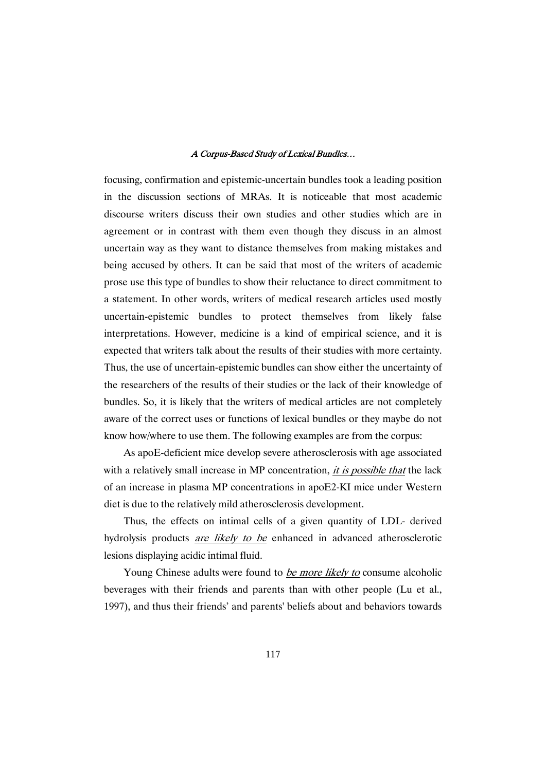focusing, confirmation and epistemic-uncertain bundles took a leading position in the discussion sections of MRAs. It is noticeable that most academic discourse writers discuss their own studies and other studies which are in agreement or in contrast with them even though they discuss in an almost uncertain way as they want to distance themselves from making mistakes and being accused by others. It can be said that most of the writers of academic prose use this type of bundles to show their reluctance to direct commitment to a statement. In other words, writers of medical research articles used mostly uncertain-epistemic bundles to protect themselves from likely false interpretations. However, medicine is a kind of empirical science, and it is expected that writers talk about the results of their studies with more certainty. Thus, the use of uncertain-epistemic bundles can show either the uncertainty of the researchers of the results of their studies or the lack of their knowledge of bundles. So, it is likely that the writers of medical articles are not completely aware of the correct uses or functions of lexical bundles or they maybe do not know how/where to use them. The following examples are from the corpus:

As apoE-deficient mice develop severe atherosclerosis with age associated with a relatively small increase in MP concentration, *it is possible that* the lack of an increase in plasma MP concentrations in apoE2-KI mice under Western diet is due to the relatively mild atherosclerosis development.

Thus, the effects on intimal cells of a given quantity of LDL- derived hydrolysis products are likely to be enhanced in advanced atherosclerotic lesions displaying acidic intimal fluid.

Young Chinese adults were found to be more likely to consume alcoholic beverages with their friends and parents than with other people (Lu et al., 1997), and thus their friends' and parents' beliefs about and behaviors towards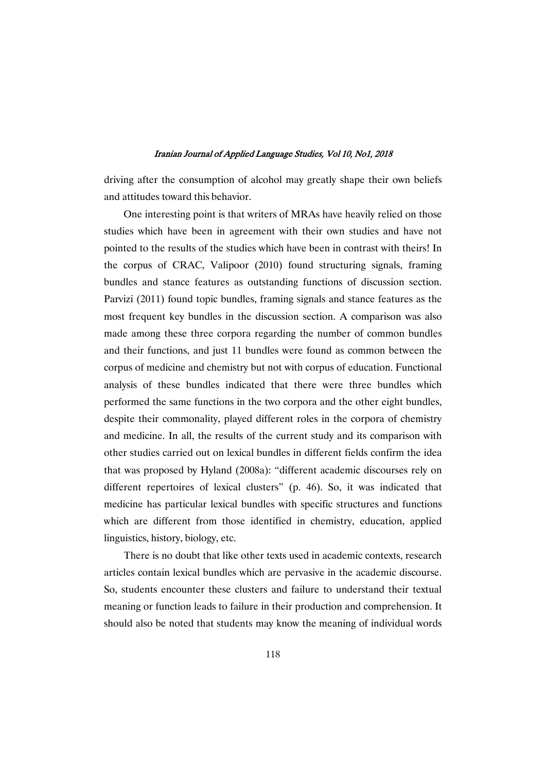driving after the consumption of alcohol may greatly shape their own beliefs and attitudes toward this behavior.

One interesting point is that writers of MRAs have heavily relied on those studies which have been in agreement with their own studies and have not pointed to the results of the studies which have been in contrast with theirs! In the corpus of CRAC, Valipoor (2010) found structuring signals, framing bundles and stance features as outstanding functions of discussion section. Parvizi (2011) found topic bundles, framing signals and stance features as the most frequent key bundles in the discussion section. A comparison was also made among these three corpora regarding the number of common bundles and their functions, and just 11 bundles were found as common between the corpus of medicine and chemistry but not with corpus of education. Functional analysis of these bundles indicated that there were three bundles which performed the same functions in the two corpora and the other eight bundles, despite their commonality, played different roles in the corpora of chemistry and medicine. In all, the results of the current study and its comparison with other studies carried out on lexical bundles in different fields confirm the idea that was proposed by Hyland (2008a): "different academic discourses rely on different repertoires of lexical clusters" (p. 46). So, it was indicated that medicine has particular lexical bundles with specific structures and functions which are different from those identified in chemistry, education, applied linguistics, history, biology, etc.

There is no doubt that like other texts used in academic contexts, research articles contain lexical bundles which are pervasive in the academic discourse. So, students encounter these clusters and failure to understand their textual meaning or function leads to failure in their production and comprehension. It should also be noted that students may know the meaning of individual words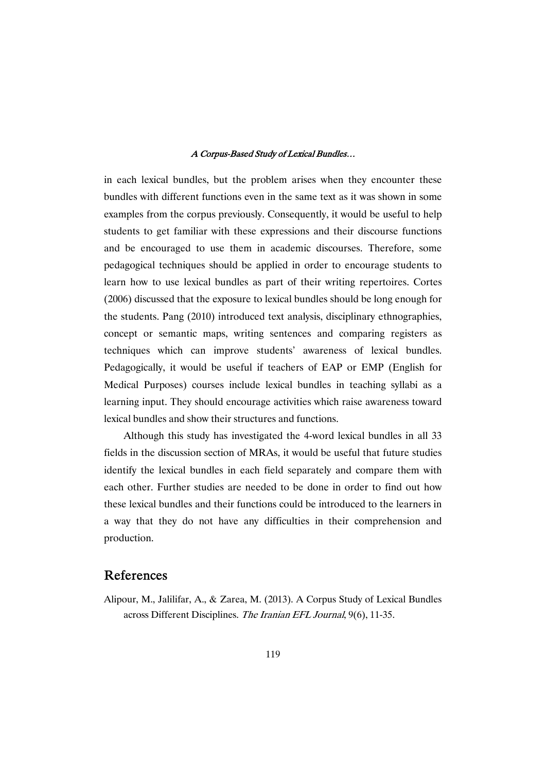in each lexical bundles, but the problem arises when they encounter these bundles with different functions even in the same text as it was shown in some examples from the corpus previously. Consequently, it would be useful to help students to get familiar with these expressions and their discourse functions and be encouraged to use them in academic discourses. Therefore, some pedagogical techniques should be applied in order to encourage students to learn how to use lexical bundles as part of their writing repertoires. Cortes  $(2006)$  discussed that the exposure to lexical bundles should be long enough for the students. Pang (2010) introduced text analysis, disciplinary ethnographies, concept or semantic maps, writing sentences and comparing registers as techniques which can improve students' awareness of lexical bundles. Pedagogically, it would be useful if teachers of EAP or EMP (English for Medical Purposes) courses include lexical bundles in teaching syllabi as a learning input. They should encourage activities which raise awareness toward lexical bundles and show their structures and functions.

Although this study has investigated the 4-word lexical bundles in all 33 fields in the discussion section of MRAs, it would be useful that future studies identify the lexical bundles in each field separately and compare them with each other. Further studies are needed to be done in order to find out how these lexical bundles and their functions could be introduced to the learners in a way that they do not have any difficulties in their comprehension and production.

# References

Alipour, M., Jalilifar, A., & Zarea, M. (2013). A Corpus Study of Lexical Bundles across Different Disciplines. The Iranian EFL Journal, 9(6), 11-35.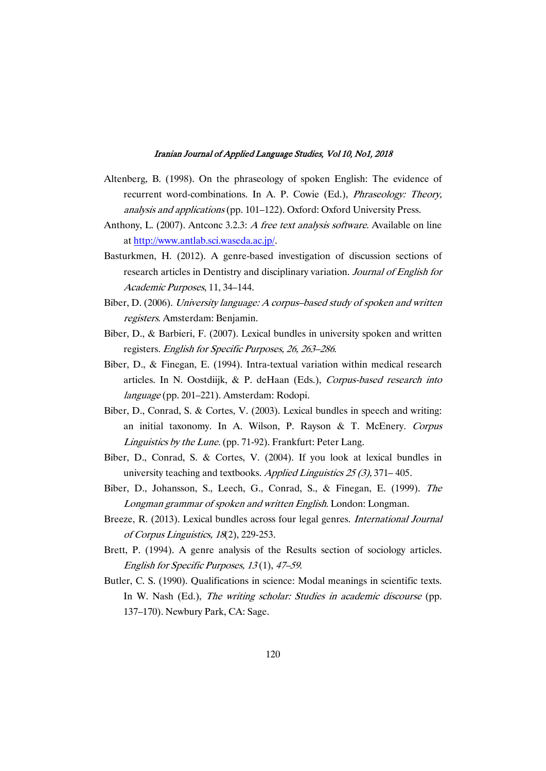- Altenberg, B. (1998). On the phraseology of spoken English: The evidence of recurrent word-combinations. In A. P. Cowie (Ed.), Phraseology: Theory, analysis and applications (pp. 101–122). Oxford: Oxford University Press.
- Anthony, L. (2007). Antconc 3.2.3: A free text analysis software. Available on line athttp://www.antlab.sci.waseda.ac.jp/.
- Basturkmen, H. (2012). A genre-based investigation of discussion sections of research articles in Dentistry and disciplinary variation. Journal of English for Academic Purposes, 11, 34-144.
- Biber, D. (2006). University language: A corpus-based study of spoken and written registers. Amsterdam: Benjamin.
- Biber, D., & Barbieri, F. (2007). Lexical bundles in university spoken and written registers. English for Specific Purposes, 26, 263–286.
- Biber, D., & Finegan, E. (1994). Intra-textual variation within medical research articles. In N. Oostdiijk, & P. deHaan (Eds.), Corpus-based research into language (pp. 201–221). Amsterdam: Rodopi.
- Biber, D., Conrad, S. & Cortes, V. (2003). Lexical bundles in speech and writing: an initial taxonomy. In A. Wilson, P. Rayson & T. McEnery. Corpus Linguistics by the Lune. (pp. 71-92). Frankfurt: Peter Lang.
- Biber, D., Conrad, S. & Cortes, V. (2004). If you look at lexical bundles in university teaching and textbooks. Applied Linguistics  $25(3)$ , 371–405.
- Biber, D., Johansson, S., Leech, G., Conrad, S., & Finegan, E. (1999). The Longman grammar of spoken and written English. London: Longman.
- Breeze, R. (2013). Lexical bundles across four legal genres. *International Journal* of Corpus Linguistics, 18(2), 229-253.
- Brett, P. (1994). A genre analysis of the Results section of sociology articles. English for Specific Purposes,  $13(1)$ ,  $47-59$ .
- Butler, C. S. (1990). Qualifications in science: Modal meanings in scientific texts. In W. Nash (Ed.), The writing scholar: Studies in academic discourse (pp. 137–170). Newbury Park, CA: Sage.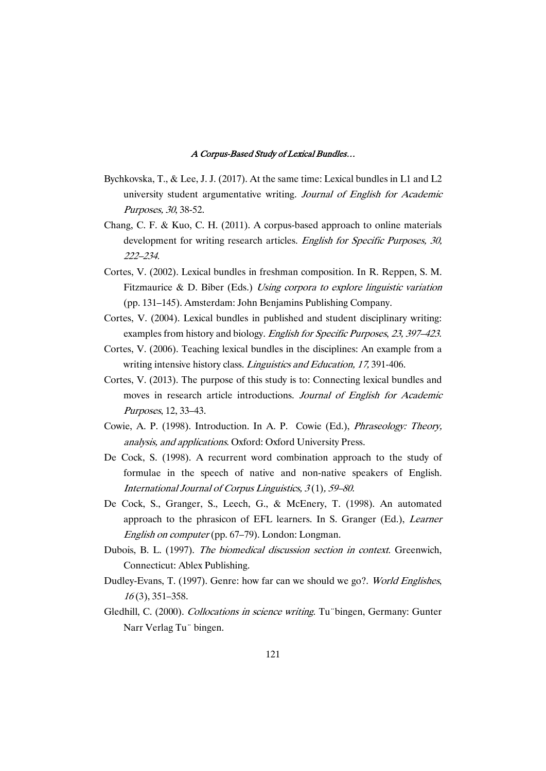- Bychkovska, T., & Lee, J. J. (2017). At the same time: Lexical bundles in L1 and L2 university student argumentative writing. Journal of English for Academic Purposes, 30, 38-52.
- Chang, C. F. & Kuo, C. H. (2011). A corpus-based approach to online materials development for writing research articles. English for Specific Purposes, 30, 222–234.
- Cortes, V. (2002). Lexical bundles in freshman composition. In R. Reppen, S. M. Fitzmaurice & D. Biber (Eds.) Using corpora to explore linguistic variation (pp. 131–145). Amsterdam: John Benjamins Publishing Company.
- Cortes, V. (2004). Lexical bundles in published and student disciplinary writing: examples from history and biology. English for Specific Purposes, 23, 397–423.
- Cortes, V. (2006). Teaching lexical bundles in the disciplines: An example from a writing intensive history class. *Linguistics and Education*, 17, 391-406.
- Cortes, V. (2013). The purpose of this study is to: Connecting lexical bundles and moves in research article introductions. Journal of English for Academic Purposes,12,33–43.
- Cowie, A. P. (1998). Introduction. In A. P. Cowie (Ed.), Phraseology: Theory, analysis, and applications. Oxford: Oxford University Press.
- De Cock, S. (1998). A recurrent word combination approach to the study of formulae in the speech of native and non-native speakers of English. International Journal of Corpus Linguistics,  $3(1)$ ,  $59-80$ .
- De Cock, S., Granger, S., Leech, G., & McEnery, T. (1998). An automated approach to the phrasicon of EFL learners. In S. Granger (Ed.), Learner English on computer (pp. 67–79). London: Longman.
- Dubois, B. L. (1997). The biomedical discussion section in context. Greenwich, Connecticut: Ablex Publishing.
- Dudley-Evans, T. (1997). Genre: how far can we should we go?. World Englishes, <sup>16</sup>(3),351–358.
- Gledhill, C. (2000). Collocations in science writing. Tu "bingen, Germany: Gunter Narr Verlag Tu" bingen.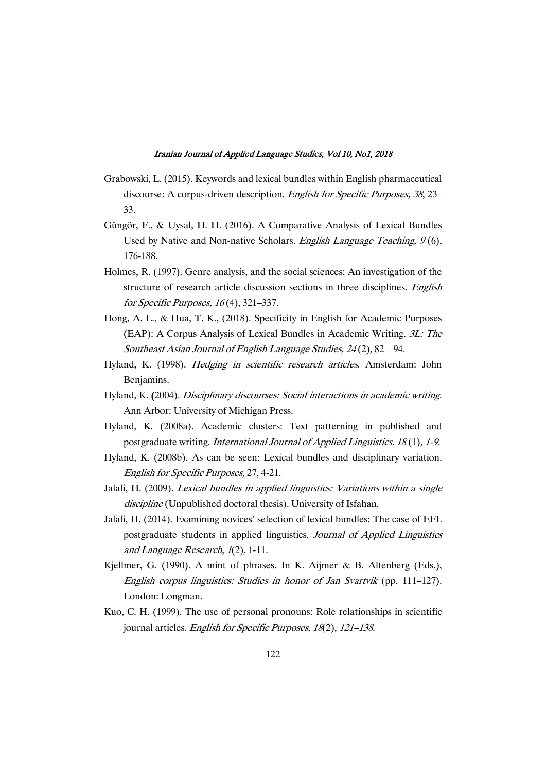- Grabowski, L. (2015). Keywords and lexical bundles within English pharmaceutical discourse: A corpus-driven description. English for Specific Purposes, 38, 23– 33.
- Güngör, F., & Uysal, H. H. (2016). A Comparative Analysis of Lexical Bundles Used by Native and Non-native Scholars. English Language Teaching,  $9(6)$ , 176-188.
- Holmes, R. (1997). Genre analysis, and the social sciences: An investigation of the structure of research article discussion sections in three disciplines. English for Specific Purposes,  $16(4)$ , 321–337.
- Hong, A. L., & Hua, T. K., (2018). Specificity in English for Academic Purposes (EAP): A Corpus Analysis of Lexical Bundles in Academic Writing.  $3L$ : The Southeast Asian Journal of English Language Studies, 24(2), 82 – 94.
- Hyland, K. (1998). Hedging in scientific research articles. Amsterdam: John Benjamins.
- Hyland, K. (2004). Disciplinary discourses: Social interactions in academic writing. Ann Arbor: University of Michigan Press.
- Hyland, K. (2008a). Academic clusters: Text patterning in published and postgraduate writing. International Journal of Applied Linguistics. 18(1), 1-9.
- Hyland, K. (2008b). As can be seen: Lexical bundles and disciplinary variation. English for Specific Purposes, 27, 4-21.
- Jalali, H. (2009). Lexical bundles in applied linguistics: Variations within a single discipline (Unpublished doctoral thesis). University of Isfahan.
- Jalali, H. (2014). Examining novices' selection of lexical bundles: The case of EFL postgraduate students in applied linguistics. Journal of Applied Linguistics and Language Research,  $1(2)$ , 1-11.
- Kjellmer, G. (1990). A mint of phrases. In K. Aijmer & B. Altenberg (Eds.), English corpus linguistics: Studies in honor of Jan Svartvik (pp. 111–127). London: Longman.
- Kuo, C. H. (1999). The use of personal pronouns: Role relationships in scientific journal articles. English for Specific Purposes,  $18(2)$ ,  $121-138$ .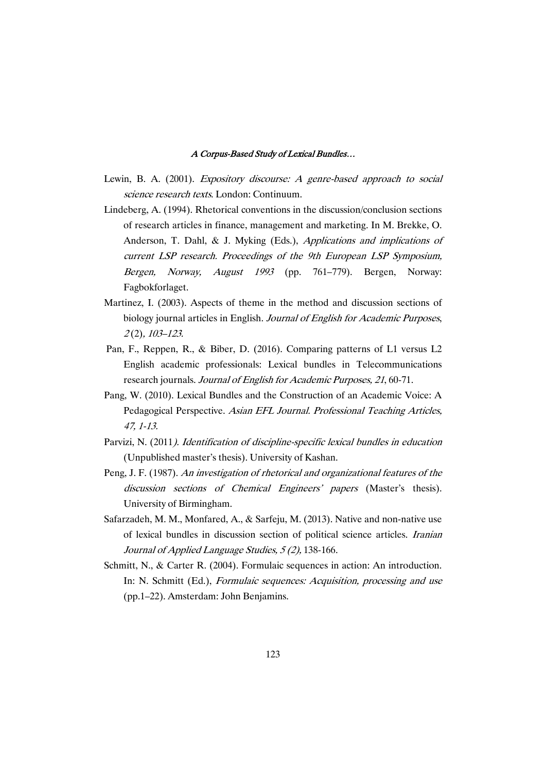- Lewin, B. A. (2001). *Expository discourse: A genre-based approach to social* science research texts. London: Continuum.
- Lindeberg, A. (1994). Rhetorical conventions in the discussion/conclusion sections of research articles in finance, management and marketing. In M. Brekke, O. Anderson, T. Dahl, & J. Myking (Eds.), Applications and implications of current LSP research. Proceedings of the 9th European LSP Symposium, Bergen, Norway, August <sup>1993</sup> (pp. 761–779). Bergen, Norway: Fagbokforlaget.
- Martinez, I. (2003). Aspects of theme in the method and discussion sections of biology journal articles in English. Journal of English for Academic Purposes, 2(2),103–123.
- Pan, F., Reppen, R., & Biber, D. (2016). Comparing patterns of L1 versus L2 English academic professionals: Lexical bundles in Telecommunications research journals. Journal of English for Academic Purposes, 21, 60-71.
- Pang, W. (2010). Lexical Bundles and the Construction of an Academic Voice: A Pedagogical Perspective. Asian EFL Journal. Professional Teaching Articles, 47,1-13.
- Parvizi, N. (2011). Identification of discipline-specific lexical bundles in education (Unpublished master's thesis). University of Kashan.
- Peng, J. F. (1987). An investigation of rhetorical and organizational features of the discussion sections of Chemical Engineers' papers (Master's thesis). University of Birmingham.
- Safarzadeh, M. M., Monfared, A., & Sarfeju, M. (2013). Native and non-native use of lexical bundles in discussion section of political science articles. Iranian Journal of Applied Language Studies, 5(2), 138-166.
- Schmitt, N., & Carter R. (2004). Formulaic sequences in action: An introduction. In: N. Schmitt (Ed.), Formulaic sequences: Acquisition, processing and use  $(pp.1-22)$ . Amsterdam: John Benjamins.